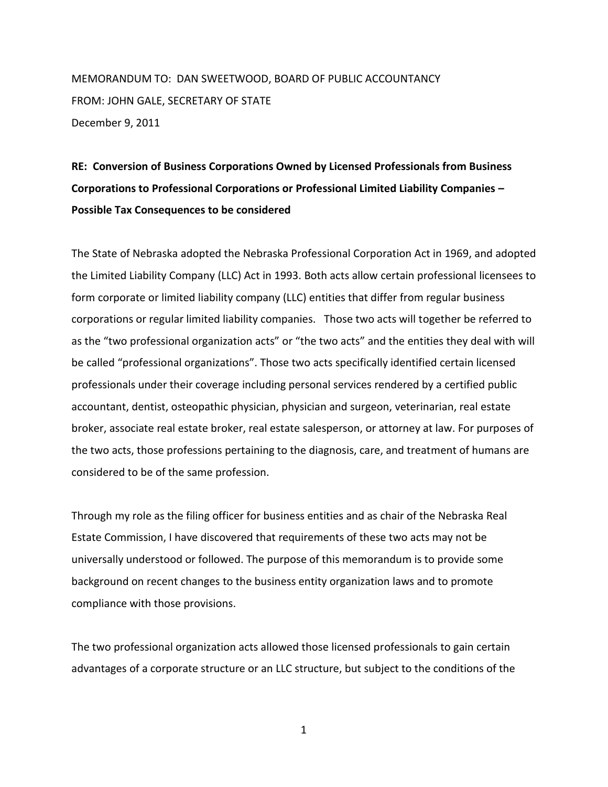MEMORANDUM TO: DAN SWEETWOOD, BOARD OF PUBLIC ACCOUNTANCY FROM: JOHN GALE, SECRETARY OF STATE December 9, 2011

## **RE: Conversion of Business Corporations Owned by Licensed Professionals from Business Corporations to Professional Corporations or Professional Limited Liability Companies – Possible Tax Consequences to be considered**

The State of Nebraska adopted the Nebraska Professional Corporation Act in 1969, and adopted the Limited Liability Company (LLC) Act in 1993. Both acts allow certain professional licensees to form corporate or limited liability company (LLC) entities that differ from regular business corporations or regular limited liability companies. Those two acts will together be referred to as the "two professional organization acts" or "the two acts" and the entities they deal with will be called "professional organizations". Those two acts specifically identified certain licensed professionals under their coverage including personal services rendered by a certified public accountant, dentist, osteopathic physician, physician and surgeon, veterinarian, real estate broker, associate real estate broker, real estate salesperson, or attorney at law. For purposes of the two acts, those professions pertaining to the diagnosis, care, and treatment of humans are considered to be of the same profession.

Through my role as the filing officer for business entities and as chair of the Nebraska Real Estate Commission, I have discovered that requirements of these two acts may not be universally understood or followed. The purpose of this memorandum is to provide some background on recent changes to the business entity organization laws and to promote compliance with those provisions.

The two professional organization acts allowed those licensed professionals to gain certain advantages of a corporate structure or an LLC structure, but subject to the conditions of the

1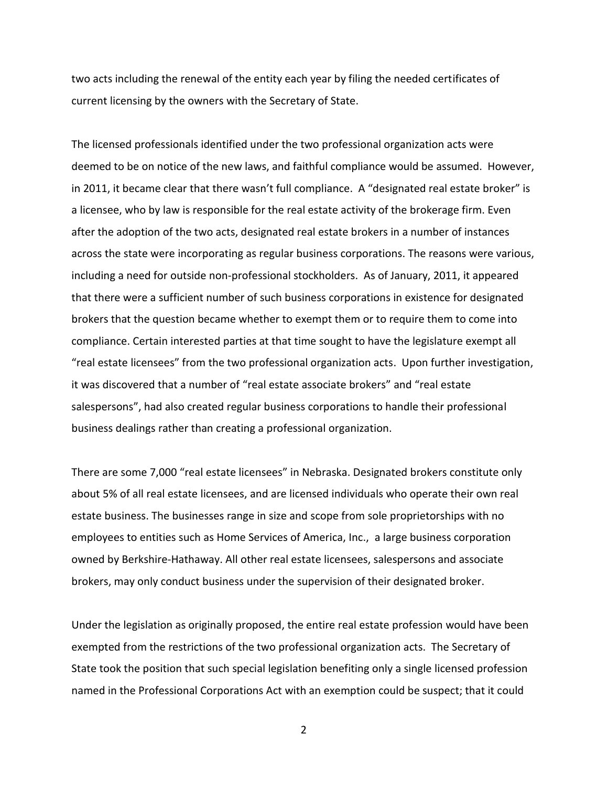two acts including the renewal of the entity each year by filing the needed certificates of current licensing by the owners with the Secretary of State.

The licensed professionals identified under the two professional organization acts were deemed to be on notice of the new laws, and faithful compliance would be assumed. However, in 2011, it became clear that there wasn't full compliance. A "designated real estate broker" is a licensee, who by law is responsible for the real estate activity of the brokerage firm. Even after the adoption of the two acts, designated real estate brokers in a number of instances across the state were incorporating as regular business corporations. The reasons were various, including a need for outside non-professional stockholders. As of January, 2011, it appeared that there were a sufficient number of such business corporations in existence for designated brokers that the question became whether to exempt them or to require them to come into compliance. Certain interested parties at that time sought to have the legislature exempt all "real estate licensees" from the two professional organization acts. Upon further investigation, it was discovered that a number of "real estate associate brokers" and "real estate salespersons", had also created regular business corporations to handle their professional business dealings rather than creating a professional organization.

There are some 7,000 "real estate licensees" in Nebraska. Designated brokers constitute only about 5% of all real estate licensees, and are licensed individuals who operate their own real estate business. The businesses range in size and scope from sole proprietorships with no employees to entities such as Home Services of America, Inc., a large business corporation owned by Berkshire-Hathaway. All other real estate licensees, salespersons and associate brokers, may only conduct business under the supervision of their designated broker.

Under the legislation as originally proposed, the entire real estate profession would have been exempted from the restrictions of the two professional organization acts. The Secretary of State took the position that such special legislation benefiting only a single licensed profession named in the Professional Corporations Act with an exemption could be suspect; that it could

2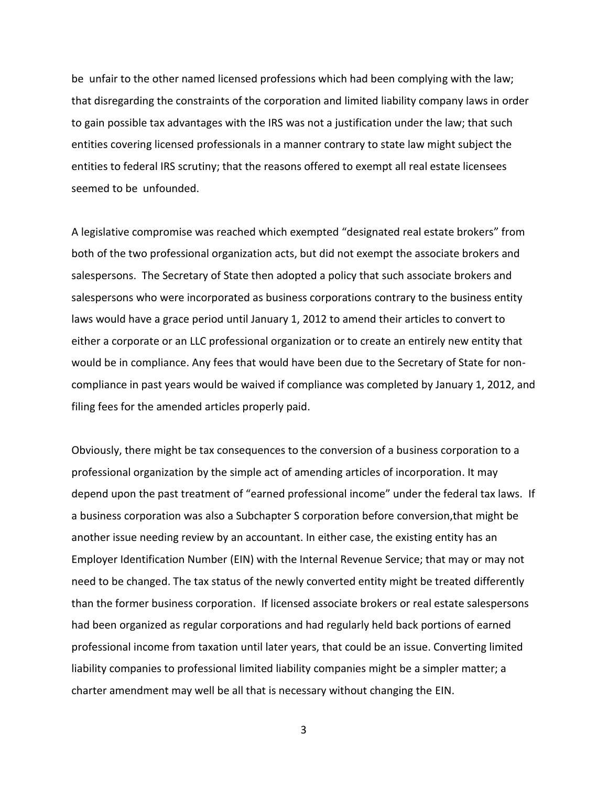be unfair to the other named licensed professions which had been complying with the law; that disregarding the constraints of the corporation and limited liability company laws in order to gain possible tax advantages with the IRS was not a justification under the law; that such entities covering licensed professionals in a manner contrary to state law might subject the entities to federal IRS scrutiny; that the reasons offered to exempt all real estate licensees seemed to be unfounded.

A legislative compromise was reached which exempted "designated real estate brokers" from both of the two professional organization acts, but did not exempt the associate brokers and salespersons. The Secretary of State then adopted a policy that such associate brokers and salespersons who were incorporated as business corporations contrary to the business entity laws would have a grace period until January 1, 2012 to amend their articles to convert to either a corporate or an LLC professional organization or to create an entirely new entity that would be in compliance. Any fees that would have been due to the Secretary of State for noncompliance in past years would be waived if compliance was completed by January 1, 2012, and filing fees for the amended articles properly paid.

Obviously, there might be tax consequences to the conversion of a business corporation to a professional organization by the simple act of amending articles of incorporation. It may depend upon the past treatment of "earned professional income" under the federal tax laws. If a business corporation was also a Subchapter S corporation before conversion,that might be another issue needing review by an accountant. In either case, the existing entity has an Employer Identification Number (EIN) with the Internal Revenue Service; that may or may not need to be changed. The tax status of the newly converted entity might be treated differently than the former business corporation. If licensed associate brokers or real estate salespersons had been organized as regular corporations and had regularly held back portions of earned professional income from taxation until later years, that could be an issue. Converting limited liability companies to professional limited liability companies might be a simpler matter; a charter amendment may well be all that is necessary without changing the EIN.

3